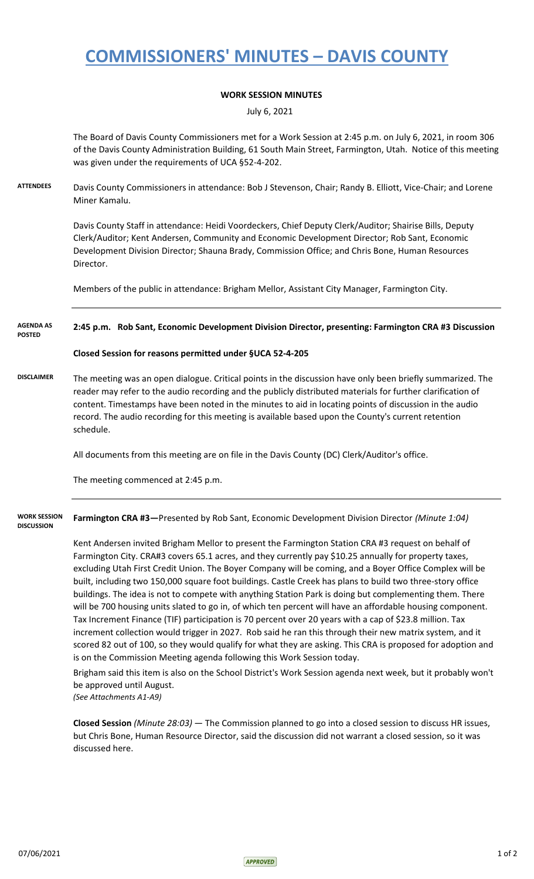## **COMMISSIONERS' MINUTES – DAVIS COUNTY**

### **WORK SESSION MINUTES**

July 6, 2021

The Board of Davis County Commissioners met for a Work Session at 2:45 p.m. on July 6, 2021, in room 306 of the Davis County Administration Building, 61 South Main Street, Farmington, Utah. Notice of this meeting was given under the requirements of UCA §52-4-202.

**ATTENDEES** Davis County Commissioners in attendance: Bob J Stevenson, Chair; Randy B. Elliott, Vice-Chair; and Lorene Miner Kamalu.

> Davis County Staff in attendance: Heidi Voordeckers, Chief Deputy Clerk/Auditor; Shairise Bills, Deputy Clerk/Auditor; Kent Andersen, Community and Economic Development Director; Rob Sant, Economic Development Division Director; Shauna Brady, Commission Office; and Chris Bone, Human Resources Director.

Members of the public in attendance: Brigham Mellor, Assistant City Manager, Farmington City.

#### **2:45 p.m. Rob Sant, Economic Development Division Director, presenting: Farmington CRA #3 Discussion AGENDA AS POSTED**

### **Closed Session for reasons permitted under §UCA 52-4-205**

**DISCLAIMER** The meeting was an open dialogue. Critical points in the discussion have only been briefly summarized. The reader may refer to the audio recording and the publicly distributed materials for further clarification of content. Timestamps have been noted in the minutes to aid in locating points of discussion in the audio record. The audio recording for this meeting is available based upon the County's current retention schedule.

All documents from this meeting are on file in the Davis County (DC) Clerk/Auditor's office.

The meeting commenced at 2:45 p.m.

**Farmington CRA #3—**Presented by Rob Sant, Economic Development Division Director *(Minute 1:04)* **WORK SESSION DISCUSSION**

> Kent Andersen invited Brigham Mellor to present the Farmington Station CRA #3 request on behalf of Farmington City. CRA#3 covers 65.1 acres, and they currently pay \$10.25 annually for property taxes, excluding Utah First Credit Union. The Boyer Company will be coming, and a Boyer Office Complex will be built, including two 150,000 square foot buildings. Castle Creek has plans to build two three-story office buildings. The idea is not to compete with anything Station Park is doing but complementing them. There will be 700 housing units slated to go in, of which ten percent will have an affordable housing component. Tax Increment Finance (TIF) participation is 70 percent over 20 years with a cap of \$23.8 million. Tax increment collection would trigger in 2027. Rob said he ran this through their new matrix system, and it scored 82 out of 100, so they would qualify for what they are asking. This CRA is proposed for adoption and is on the Commission Meeting agenda following this Work Session today.

> Brigham said this item is also on the School District's Work Session agenda next week, but it probably won't be approved until August.

*(See Attachments A1-A9)*

**Closed Session** *(Minute 28:03)* — The Commission planned to go into a closed session to discuss HR issues, but Chris Bone, Human Resource Director, said the discussion did not warrant a closed session, so it was discussed here.